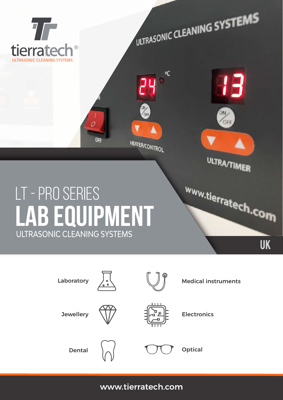

| Laboratory       | $\bullet$<br>$^{\circ}$ o | ര | <b>Medical instruments</b> |  |  |
|------------------|---------------------------|---|----------------------------|--|--|
| <b>Jewellery</b> |                           |   | <b>Electronics</b>         |  |  |
| <b>Dental</b>    |                           |   | <b>Optical</b>             |  |  |

www.tierratech.com